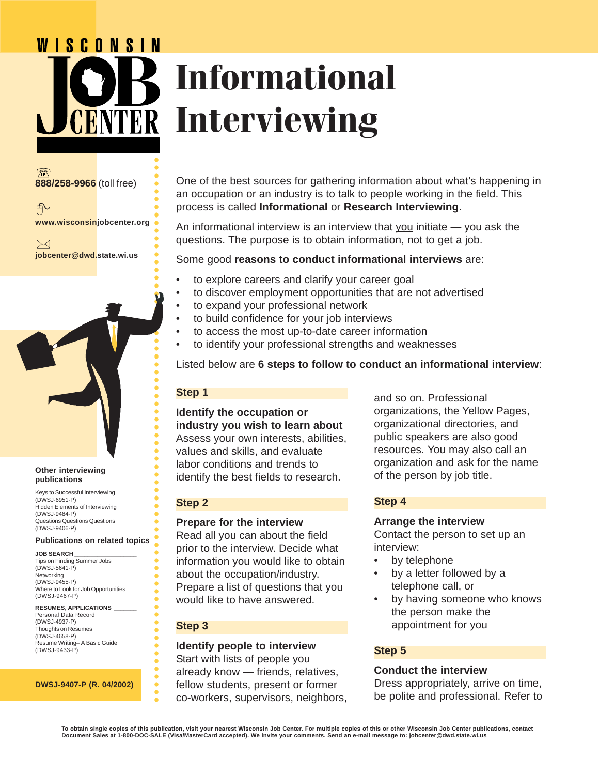# WISCONSIN **Informational INTER Interviewing**

**888/258-9966** (toll free)

币 **www.wisconsinjobcenter.org**

 $\boxtimes$ **jobcenter@dwd.state.wi.us**



#### **Other interviewing publications**

Keys to Successful Interviewing (DWSJ-6951-P) Hidden Elements of Interviewing (DWSJ-9484-P) Questions Questions Questions (DWSJ-9406-P)

### **Publications on related topics**

**JOB SEARCH \_\_\_\_\_\_\_\_\_\_\_\_\_\_\_\_\_\_\_**

Tips on Finding Summer Jobs (DWSJ-5641-P) Networking (DWSJ-9455-P) Where to Look for Job Opportunities (DWSJ-9467-P)

## **RESUMES, APPLICATIONS \_\_\_\_\_\_\_**

Personal Data Record (DWSJ-4937-P) Thoughts on Resumes (DWSJ-4658-P) Resume Writing– A Basic Guide (DWSJ-9433-P)

#### **DWSJ-9407-P (R. 04/2002)**

One of the best sources for gathering information about what's happening in an occupation or an industry is to talk to people working in the field. This process is called **Informational** or **Research Interviewing**.

An informational interview is an interview that you initiate — you ask the questions. The purpose is to obtain information, not to get a job.

## Some good **reasons to conduct informational interviews** are:

- to explore careers and clarify your career goal
- to discover employment opportunities that are not advertised
- to expand your professional network
- to build confidence for your job interviews
- to access the most up-to-date career information
- to identify your professional strengths and weaknesses

Listed below are **6 steps to follow to conduct an informational interview**:

# **Step 1**

## **Identify the occupation or industry you wish to learn about** Assess your own interests, abilities, values and skills, and evaluate labor conditions and trends to

identify the best fields to research.

**Step 2**

## **Prepare for the interview**

Read all you can about the field prior to the interview. Decide what information you would like to obtain about the occupation/industry. Prepare a list of questions that you would like to have answered.

## **Step 3**

○○○○○○○○○○○○○○○○○○○○○○○○○○

○○○○○○○○○○○○○○○○○○○○○○○○○○

 $\bullet$  $\bullet$ 

# **Identify people to interview**

Start with lists of people you already know — friends, relatives, fellow students, present or former co-workers, supervisors, neighbors, and so on. Professional organizations, the Yellow Pages, organizational directories, and public speakers are also good resources. You may also call an organization and ask for the name of the person by job title.

## **Step 4**

## **Arrange the interview**

Contact the person to set up an interview:

- by telephone
- by a letter followed by a telephone call, or
- by having someone who knows the person make the appointment for you

## **Step 5**

## **Conduct the interview**

Dress appropriately, arrive on time, be polite and professional. Refer to